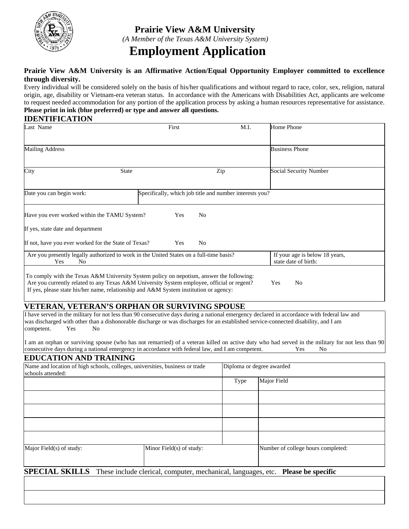

# **Prairie View A&M University**  *(A Member of the Texas A&M University System)*  **Employment Application**

#### **Prairie View A&M University is an Affirmative Action/Equal Opportunity Employer committed to excellence through diversity.**

Every individual will be considered solely on the basis of his/her qualifications and without regard to race, color, sex, religion, natural origin, age, disability or Vietnam-era veteran status. In accordance with the Americans with Disabilities Act, applicants are welcome to request needed accommodation for any portion of the application process by asking a human resources representative for assistance. **Please print in ink (blue preferred) or type and answer all questions.** 

### **IDENTIFICATION**

| Last Name                                                                                                                                                                                                                                                                       | First | M.I.                                                    | Home Phone                                             |
|---------------------------------------------------------------------------------------------------------------------------------------------------------------------------------------------------------------------------------------------------------------------------------|-------|---------------------------------------------------------|--------------------------------------------------------|
| <b>Mailing Address</b>                                                                                                                                                                                                                                                          |       |                                                         | <b>Business Phone</b>                                  |
| City<br><b>State</b>                                                                                                                                                                                                                                                            |       | Zip                                                     | Social Security Number                                 |
| Date you can begin work:                                                                                                                                                                                                                                                        |       | Specifically, which job title and number interests you? |                                                        |
| Have you ever worked within the TAMU System?                                                                                                                                                                                                                                    | Yes   | N <sub>0</sub>                                          |                                                        |
| If yes, state date and department                                                                                                                                                                                                                                               |       |                                                         |                                                        |
| If not, have you ever worked for the State of Texas?                                                                                                                                                                                                                            | Yes   | N <sub>o</sub>                                          |                                                        |
| Are you presently legally authorized to work in the United States on a full-time basis?<br>Yes<br>No                                                                                                                                                                            |       |                                                         | If your age is below 18 years,<br>state date of birth: |
| To comply with the Texas A&M University System policy on nepotism, answer the following:<br>Are you currently related to any Texas A&M University System employee, official or regent?<br>If yes, please state his/her name, relationship and A&M System institution or agency: |       |                                                         | N <sub>0</sub><br>Yes                                  |

## **VETERAN, VETERAN'S ORPHAN OR SURVIVING SPOUSE**

I have served in the military for not less than 90 consecutive days during a national emergency declared in accordance with federal law and was discharged with other than a dishonorable discharge or was discharges for an established service-connected disability, and I am competent. Yes No

I am an orphan or surviving spouse (who has not remarried) of a veteran killed on active duty who had served in the military for not less than 90 consecutive days during a national emergency in accordance with federal law, and I am competent. Yes No

### **EDUCATION AND TRAINING**

| Name and location of high schools, colleges, universities, business or trade<br>schools attended: |                                                                                                        |      | Diploma or degree awarded          |  |
|---------------------------------------------------------------------------------------------------|--------------------------------------------------------------------------------------------------------|------|------------------------------------|--|
|                                                                                                   |                                                                                                        | Type | Major Field                        |  |
|                                                                                                   |                                                                                                        |      |                                    |  |
|                                                                                                   |                                                                                                        |      |                                    |  |
|                                                                                                   |                                                                                                        |      |                                    |  |
|                                                                                                   |                                                                                                        |      |                                    |  |
| Major Field(s) of study:                                                                          | Minor Field(s) of study:                                                                               |      | Number of college hours completed: |  |
|                                                                                                   | <b>SPECIAL SKILLS</b> These include clerical, computer, mechanical, languages, etc. Please be specific |      |                                    |  |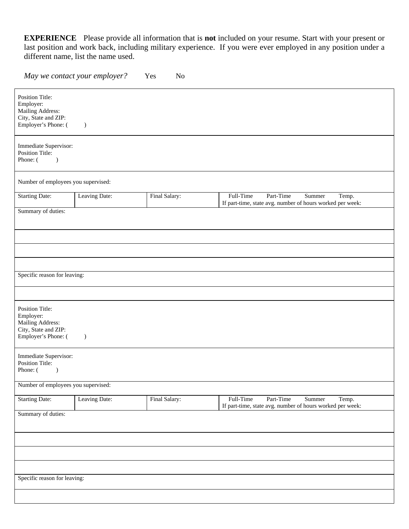**EXPERIENCE** Please provide all information that is **not** included on your resume. Start with your present or last position and work back, including military experience. If you were ever employed in any position under a different name, list the name used.

*May we contact your employer?* Yes No

| <b>Position Title:</b><br>Employer:<br>Mailing Address:<br>City, State and ZIP:<br>Employer's Phone: (<br>$\mathcal{L}$ |               |               |                                                                                                        |  |
|-------------------------------------------------------------------------------------------------------------------------|---------------|---------------|--------------------------------------------------------------------------------------------------------|--|
| Immediate Supervisor:<br>Position Title:<br>Phone: (<br>$\lambda$                                                       |               |               |                                                                                                        |  |
| Number of employees you supervised:                                                                                     |               |               |                                                                                                        |  |
| <b>Starting Date:</b>                                                                                                   | Leaving Date: | Final Salary: | Full-Time<br>Part-Time<br>Temp.<br>Summer<br>If part-time, state avg. number of hours worked per week: |  |
| Summary of duties:                                                                                                      |               |               |                                                                                                        |  |
|                                                                                                                         |               |               |                                                                                                        |  |
|                                                                                                                         |               |               |                                                                                                        |  |
|                                                                                                                         |               |               |                                                                                                        |  |
| Specific reason for leaving:                                                                                            |               |               |                                                                                                        |  |
|                                                                                                                         |               |               |                                                                                                        |  |
| <b>Position Title:</b><br>Employer:<br>Mailing Address:<br>City, State and ZIP:<br>Employer's Phone: (<br>$\mathcal{L}$ |               |               |                                                                                                        |  |
| Immediate Supervisor:<br><b>Position Title:</b><br>Phone: (<br>$\mathcal{L}$                                            |               |               |                                                                                                        |  |
| Number of employees you supervised:                                                                                     |               |               |                                                                                                        |  |
| <b>Starting Date:</b>                                                                                                   | Leaving Date: | Final Salary: | Full-Time<br>Part-Time<br>Summer<br>Temp.<br>If part-time, state avg. number of hours worked per week: |  |
| Summary of duties:                                                                                                      |               |               |                                                                                                        |  |
|                                                                                                                         |               |               |                                                                                                        |  |
|                                                                                                                         |               |               |                                                                                                        |  |
|                                                                                                                         |               |               |                                                                                                        |  |
| Specific reason for leaving:                                                                                            |               |               |                                                                                                        |  |
|                                                                                                                         |               |               |                                                                                                        |  |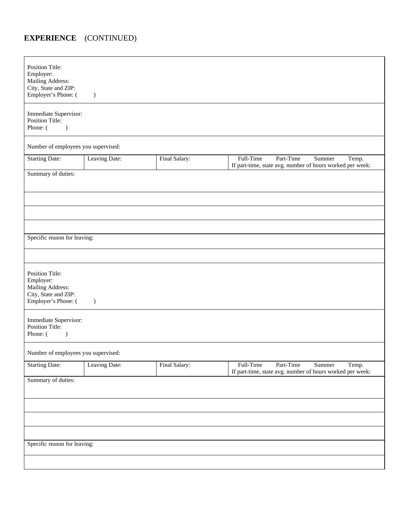# **EXPERIENCE** (CONTINUED)

| Position Title:<br>Employer:<br>Mailing Address:<br>City, State and ZIP:<br>Employer's Phone: ( | $\big)$       |               |                                                                                                        |  |  |
|-------------------------------------------------------------------------------------------------|---------------|---------------|--------------------------------------------------------------------------------------------------------|--|--|
| Immediate Supervisor:<br><b>Position Title:</b><br>Phone: (<br>$\lambda$                        |               |               |                                                                                                        |  |  |
| Number of employees you supervised:                                                             |               |               |                                                                                                        |  |  |
| <b>Starting Date:</b>                                                                           | Leaving Date: | Final Salary: | Full-Time<br>Part-Time<br>Summer<br>Temp.<br>If part-time, state avg. number of hours worked per week: |  |  |
| Summary of duties:                                                                              |               |               |                                                                                                        |  |  |
|                                                                                                 |               |               |                                                                                                        |  |  |
|                                                                                                 |               |               |                                                                                                        |  |  |
|                                                                                                 |               |               |                                                                                                        |  |  |
| Specific reason for leaving:                                                                    |               |               |                                                                                                        |  |  |
|                                                                                                 |               |               |                                                                                                        |  |  |
| Position Title:<br>Employer:<br>Mailing Address:<br>City, State and ZIP:<br>Employer's Phone: ( | $\mathcal{L}$ |               |                                                                                                        |  |  |
| Immediate Supervisor:<br>Position Title:<br>Phone: (<br>$\mathcal{L}$                           |               |               |                                                                                                        |  |  |
| Number of employees you supervised:                                                             |               |               |                                                                                                        |  |  |
| <b>Starting Date:</b>                                                                           | Leaving Date: | Final Salary: | Full-Time<br>Part-Time<br>Summer<br>Temp.<br>If part-time, state avg. number of hours worked per week: |  |  |
| Summary of duties:                                                                              |               |               |                                                                                                        |  |  |
|                                                                                                 |               |               |                                                                                                        |  |  |
|                                                                                                 |               |               |                                                                                                        |  |  |
|                                                                                                 |               |               |                                                                                                        |  |  |
| Specific reason for leaving:                                                                    |               |               |                                                                                                        |  |  |
|                                                                                                 |               |               |                                                                                                        |  |  |